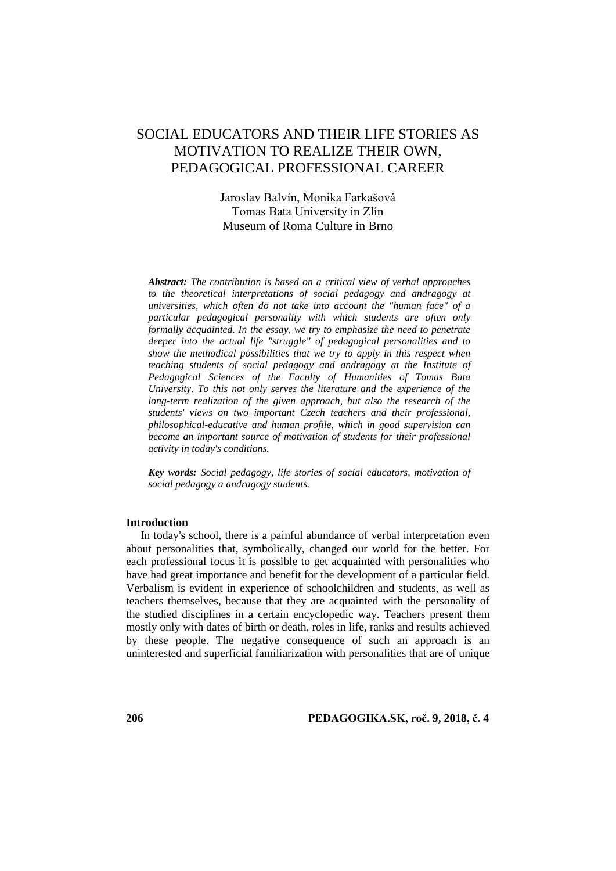# SOCIAL EDUCATORS AND THEIR LIFE STORIES AS MOTIVATION TO REALIZE THEIR OWN, PEDAGOGICAL PROFESSIONAL CAREER

## Jaroslav Balvín, Monika Farkašová Tomas Bata University in Zlín Museum of Roma Culture in Brno

*Abstract: The contribution is based on a critical view of verbal approaches to the theoretical interpretations of social pedagogy and andragogy at universities, which often do not take into account the "human face" of a particular pedagogical personality with which students are often only formally acquainted. In the essay, we try to emphasize the need to penetrate deeper into the actual life "struggle" of pedagogical personalities and to show the methodical possibilities that we try to apply in this respect when teaching students of social pedagogy and andragogy at the Institute of Pedagogical Sciences of the Faculty of Humanities of Tomas Bata University. To this not only serves the literature and the experience of the long-term realization of the given approach, but also the research of the students' views on two important Czech teachers and their professional, philosophical-educative and human profile, which in good supervision can become an important source of motivation of students for their professional activity in today's conditions.*

*Key words: Social pedagogy, life stories of social educators, motivation of social pedagogy a andragogy students.*

#### **Introduction**

In today's school, there is a painful abundance of verbal interpretation even about personalities that, symbolically, changed our world for the better. For each professional focus it is possible to get acquainted with personalities who have had great importance and benefit for the development of a particular field. Verbalism is evident in experience of schoolchildren and students, as well as teachers themselves, because that they are acquainted with the personality of the studied disciplines in a certain encyclopedic way. Teachers present them mostly only with dates of birth or death, roles in life, ranks and results achieved by these people. The negative consequence of such an approach is an uninterested and superficial familiarization with personalities that are of unique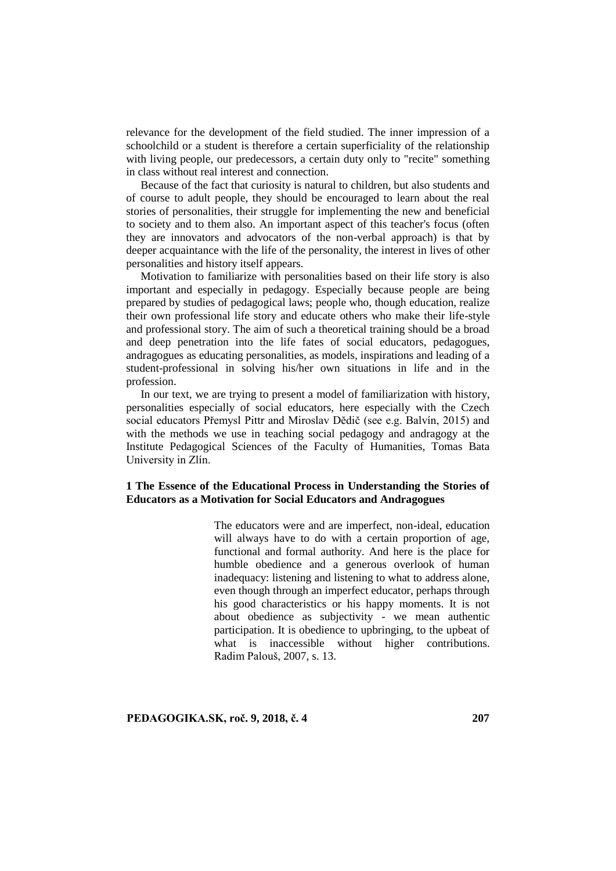relevance for the development of the field studied. The inner impression of a schoolchild or a student is therefore a certain superficiality of the relationship with living people, our predecessors, a certain duty only to "recite" something in class without real interest and connection.

Because of the fact that curiosity is natural to children, but also students and of course to adult people, they should be encouraged to learn about the real stories of personalities, their struggle for implementing the new and beneficial to society and to them also. An important aspect of this teacher's focus (often they are innovators and advocators of the non-verbal approach) is that by deeper acquaintance with the life of the personality, the interest in lives of other personalities and history itself appears.

Motivation to familiarize with personalities based on their life story is also important and especially in pedagogy. Especially because people are being prepared by studies of pedagogical laws; people who, though education, realize their own professional life story and educate others who make their life-style and professional story. The aim of such a theoretical training should be a broad and deep penetration into the life fates of social educators, pedagogues, andragogues as educating personalities, as models, inspirations and leading of a student-professional in solving his/her own situations in life and in the profession.

In our text, we are trying to present a model of familiarization with history, personalities especially of social educators, here especially with the Czech social educators Přemysl Pittr and Miroslav Dědič (see e.g. Balvín, 2015) and with the methods we use in teaching social pedagogy and andragogy at the Institute Pedagogical Sciences of the Faculty of Humanities, Tomas Bata University in Zlín.

### **1 The Essence of the Educational Process in Understanding the Stories of Educators as a Motivation for Social Educators and Andragogues**

The educators were and are imperfect, non-ideal, education will always have to do with a certain proportion of age, functional and formal authority. And here is the place for humble obedience and a generous overlook of human inadequacy: listening and listening to what to address alone, even though through an imperfect educator, perhaps through his good characteristics or his happy moments. It is not about obedience as subjectivity - we mean authentic participation. It is obedience to upbringing, to the upbeat of what is inaccessible without higher contributions. Radim Palouš, 2007, s. 13.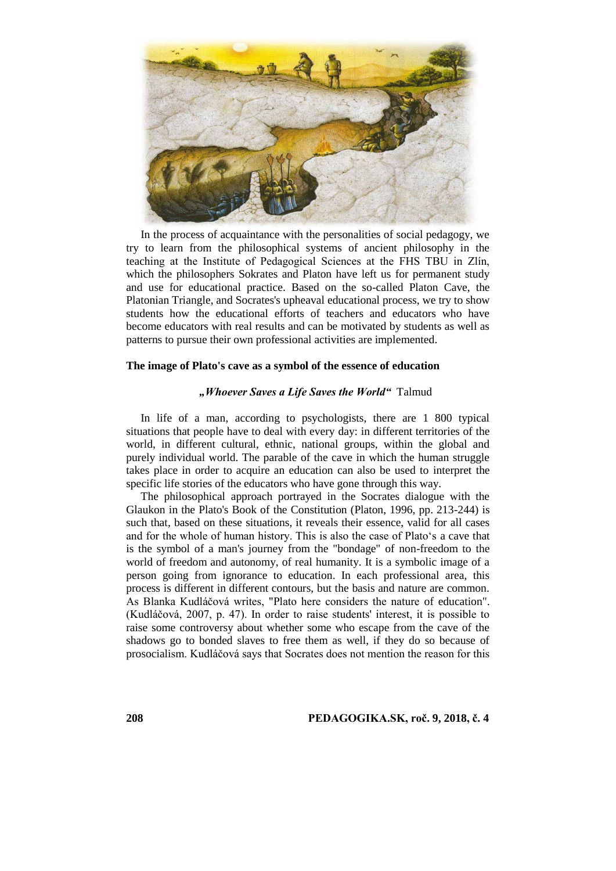

In the process of acquaintance with the personalities of social pedagogy, we try to learn from the philosophical systems of ancient philosophy in the teaching at the Institute of Pedagogical Sciences at the FHS TBU in Zlín, which the philosophers Sokrates and Platon have left us for permanent study and use for educational practice. Based on the so-called Platon Cave, the Platonian Triangle, and Socrates's upheaval educational process, we try to show students how the educational efforts of teachers and educators who have become educators with real results and can be motivated by students as well as patterns to pursue their own professional activities are implemented.

#### **The image of Plato's cave as a symbol of the essence of education**

### *"Whoever Saves a Life Saves the World"* Talmud

In life of a man, according to psychologists, there are 1 800 typical situations that people have to deal with every day: in different territories of the world, in different cultural, ethnic, national groups, within the global and purely individual world. The parable of the cave in which the human struggle takes place in order to acquire an education can also be used to interpret the specific life stories of the educators who have gone through this way.

The philosophical approach portrayed in the Socrates dialogue with the Glaukon in the Plato's Book of the Constitution (Platon, 1996, pp. 213-244) is such that, based on these situations, it reveals their essence, valid for all cases and for the whole of human history. This is also the case of Plato's a cave that is the symbol of a man's journey from the "bondage" of non-freedom to the world of freedom and autonomy, of real humanity. It is a symbolic image of a person going from ignorance to education. In each professional area, this process is different in different contours, but the basis and nature are common. As Blanka Kudláčová writes, "Plato here considers the nature of education". (Kudláčová, 2007, p. 47). In order to raise students' interest, it is possible to raise some controversy about whether some who escape from the cave of the shadows go to bonded slaves to free them as well, if they do so because of prosocialism. Kudláčová says that Socrates does not mention the reason for this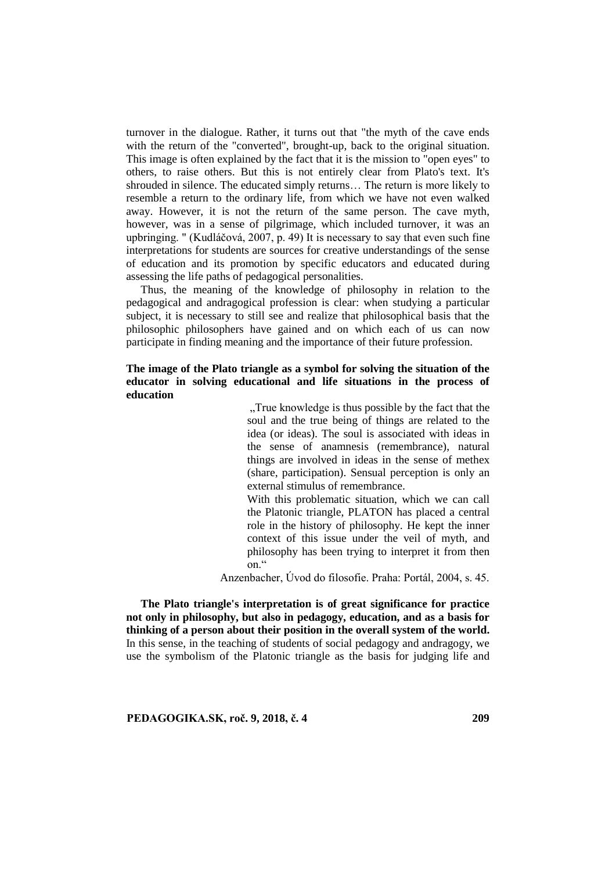turnover in the dialogue. Rather, it turns out that "the myth of the cave ends with the return of the "converted", brought-up, back to the original situation. This image is often explained by the fact that it is the mission to "open eyes" to others, to raise others. But this is not entirely clear from Plato's text. It's shrouded in silence. The educated simply returns… The return is more likely to resemble a return to the ordinary life, from which we have not even walked away. However, it is not the return of the same person. The cave myth, however, was in a sense of pilgrimage, which included turnover, it was an upbringing. " (Kudláčová, 2007, p. 49) It is necessary to say that even such fine interpretations for students are sources for creative understandings of the sense of education and its promotion by specific educators and educated during assessing the life paths of pedagogical personalities.

Thus, the meaning of the knowledge of philosophy in relation to the pedagogical and andragogical profession is clear: when studying a particular subject, it is necessary to still see and realize that philosophical basis that the philosophic philosophers have gained and on which each of us can now participate in finding meaning and the importance of their future profession.

### **The image of the Plato triangle as a symbol for solving the situation of the educator in solving educational and life situations in the process of education**

"True knowledge is thus possible by the fact that the soul and the true being of things are related to the idea (or ideas). The soul is associated with ideas in the sense of anamnesis (remembrance), natural things are involved in ideas in the sense of methex (share, participation). Sensual perception is only an external stimulus of remembrance.

With this problematic situation, which we can call the Platonic triangle, PLATON has placed a central role in the history of philosophy. He kept the inner context of this issue under the veil of myth, and philosophy has been trying to interpret it from then on."

Anzenbacher, Úvod do filosofie. Praha: Portál, 2004, s. 45.

**The Plato triangle's interpretation is of great significance for practice not only in philosophy, but also in pedagogy, education, and as a basis for thinking of a person about their position in the overall system of the world.**  In this sense, in the teaching of students of social pedagogy and andragogy, we use the symbolism of the Platonic triangle as the basis for judging life and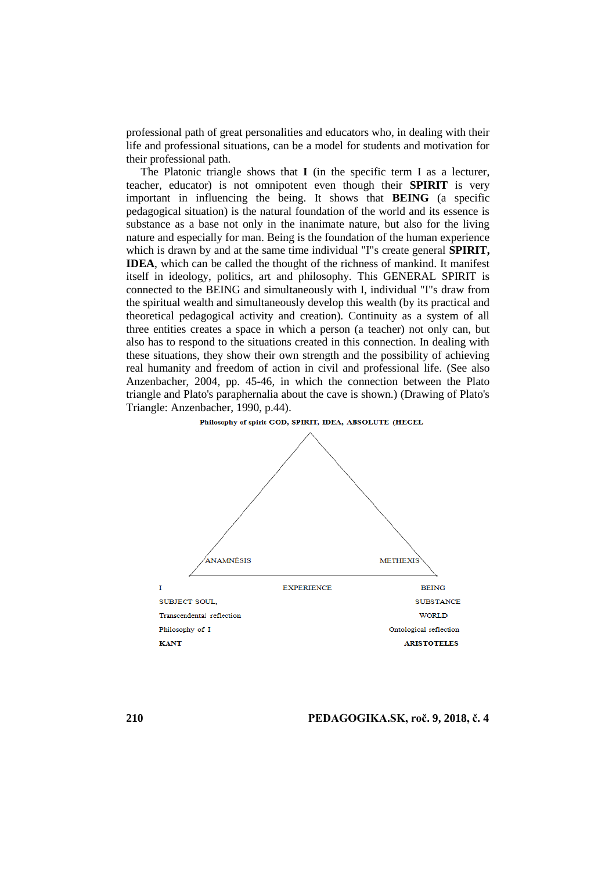professional path of great personalities and educators who, in dealing with their life and professional situations, can be a model for students and motivation for their professional path.

The Platonic triangle shows that **I** (in the specific term I as a lecturer, teacher, educator) is not omnipotent even though their **SPIRIT** is very important in influencing the being. It shows that **BEING** (a specific pedagogical situation) is the natural foundation of the world and its essence is substance as a base not only in the inanimate nature, but also for the living nature and especially for man. Being is the foundation of the human experience which is drawn by and at the same time individual "I"s create general **SPIRIT**, **IDEA**, which can be called the thought of the richness of mankind. It manifest itself in ideology, politics, art and philosophy. This GENERAL SPIRIT is connected to the BEING and simultaneously with I, individual "I"s draw from the spiritual wealth and simultaneously develop this wealth (by its practical and theoretical pedagogical activity and creation). Continuity as a system of all three entities creates a space in which a person (a teacher) not only can, but also has to respond to the situations created in this connection. In dealing with these situations, they show their own strength and the possibility of achieving real humanity and freedom of action in civil and professional life. (See also Anzenbacher, 2004, pp. 45-46, in which the connection between the Plato triangle and Plato's paraphernalia about the cave is shown.) (Drawing of Plato's Triangle: Anzenbacher, 1990, p.44).

#### Philosophy of spirit GOD, SPIRIT, IDEA, ABSOLUTE (HEGEL

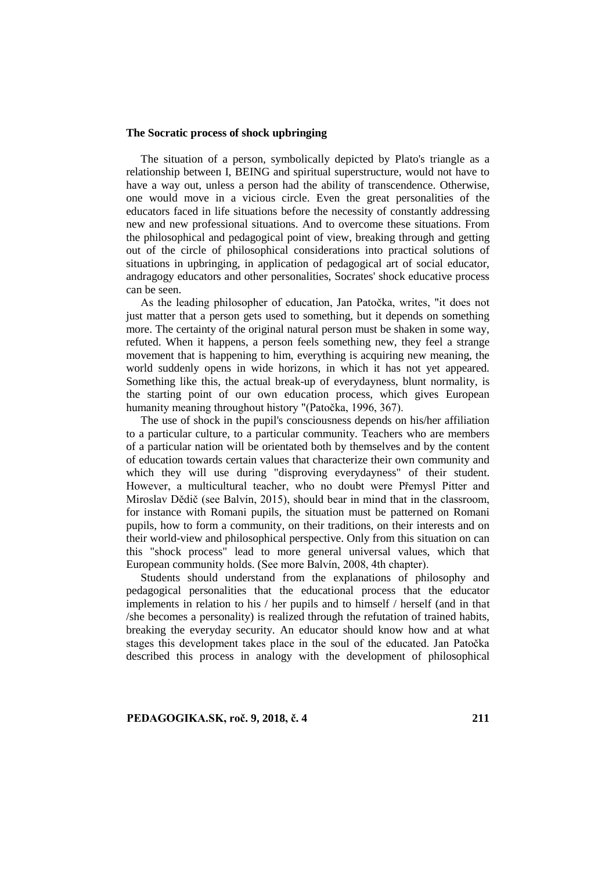#### **The Socratic process of shock upbringing**

The situation of a person, symbolically depicted by Plato's triangle as a relationship between I, BEING and spiritual superstructure, would not have to have a way out, unless a person had the ability of transcendence. Otherwise, one would move in a vicious circle. Even the great personalities of the educators faced in life situations before the necessity of constantly addressing new and new professional situations. And to overcome these situations. From the philosophical and pedagogical point of view, breaking through and getting out of the circle of philosophical considerations into practical solutions of situations in upbringing, in application of pedagogical art of social educator, andragogy educators and other personalities, Socrates' shock educative process can be seen.

As the leading philosopher of education, Jan Patočka, writes, "it does not just matter that a person gets used to something, but it depends on something more. The certainty of the original natural person must be shaken in some way, refuted. When it happens, a person feels something new, they feel a strange movement that is happening to him, everything is acquiring new meaning, the world suddenly opens in wide horizons, in which it has not yet appeared. Something like this, the actual break-up of everydayness, blunt normality, is the starting point of our own education process, which gives European humanity meaning throughout history "(Patočka, 1996, 367).

The use of shock in the pupil's consciousness depends on his/her affiliation to a particular culture, to a particular community. Teachers who are members of a particular nation will be orientated both by themselves and by the content of education towards certain values that characterize their own community and which they will use during "disproving everydayness" of their student. However, a multicultural teacher, who no doubt were Přemysl Pitter and Miroslav Dědič (see Balvín, 2015), should bear in mind that in the classroom, for instance with Romani pupils, the situation must be patterned on Romani pupils, how to form a community, on their traditions, on their interests and on their world-view and philosophical perspective. Only from this situation on can this "shock process" lead to more general universal values, which that European community holds. (See more Balvín, 2008, 4th chapter).

Students should understand from the explanations of philosophy and pedagogical personalities that the educational process that the educator implements in relation to his / her pupils and to himself / herself (and in that /she becomes a personality) is realized through the refutation of trained habits, breaking the everyday security. An educator should know how and at what stages this development takes place in the soul of the educated. Jan Patočka described this process in analogy with the development of philosophical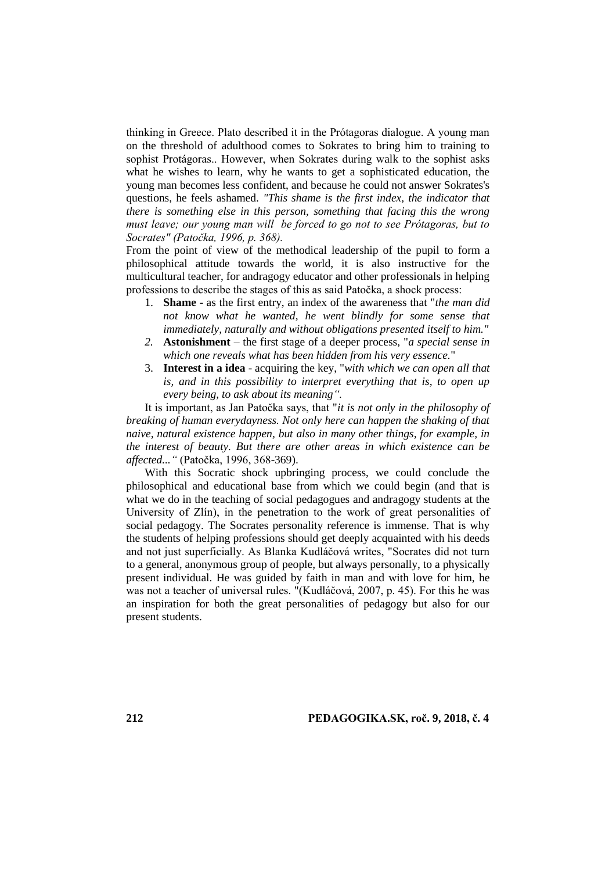thinking in Greece. Plato described it in the Prótagoras dialogue. A young man on the threshold of adulthood comes to Sokrates to bring him to training to sophist Protágoras.. However, when Sokrates during walk to the sophist asks what he wishes to learn, why he wants to get a sophisticated education, the young man becomes less confident, and because he could not answer Sokrates's questions, he feels ashamed. *"This shame is the first index, the indicator that there is something else in this person, something that facing this the wrong must leave; our young man will be forced to go not to see Prótagoras, but to Socrates" (Patočka, 1996, p. 368).*

From the point of view of the methodical leadership of the pupil to form a philosophical attitude towards the world, it is also instructive for the multicultural teacher, for andragogy educator and other professionals in helping professions to describe the stages of this as said Patočka, a shock process:

- 1. **Shame**  as the first entry, an index of the awareness that "*the man did not know what he wanted, he went blindly for some sense that immediately, naturally and without obligations presented itself to him."*
- *2.* **Astonishment**  the first stage of a deeper process, "*a special sense in which one reveals what has been hidden from his very essence.*"
- 3. **Interest in a idea**  acquiring the key, "*with which we can open all that is, and in this possibility to interpret everything that is, to open up every being, to ask about its meaning".*

It is important, as Jan Patočka says, that "*it is not only in the philosophy of breaking of human everydayness. Not only here can happen the shaking of that naive, natural existence happen, but also in many other things, for example, in the interest of beauty. But there are other areas in which existence can be affected..."* (Patočka, 1996, 368-369).

With this Socratic shock upbringing process, we could conclude the philosophical and educational base from which we could begin (and that is what we do in the teaching of social pedagogues and andragogy students at the University of Zlín), in the penetration to the work of great personalities of social pedagogy. The Socrates personality reference is immense. That is why the students of helping professions should get deeply acquainted with his deeds and not just superficially. As Blanka Kudláčová writes, "Socrates did not turn to a general, anonymous group of people, but always personally, to a physically present individual. He was guided by faith in man and with love for him, he was not a teacher of universal rules. "(Kudláčová, 2007, p. 45). For this he was an inspiration for both the great personalities of pedagogy but also for our present students.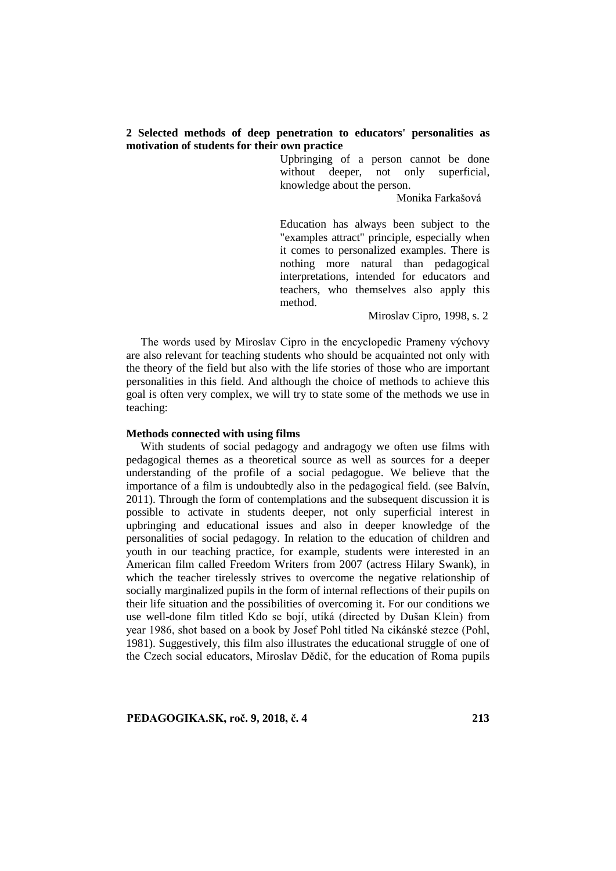### **2 Selected methods of deep penetration to educators' personalities as motivation of students for their own practice**

Upbringing of a person cannot be done without deeper, not only superficial, knowledge about the person.

Monika Farkašová

Education has always been subject to the "examples attract" principle, especially when it comes to personalized examples. There is nothing more natural than pedagogical interpretations, intended for educators and teachers, who themselves also apply this method.

Miroslav Cipro, 1998, s. 2

The words used by Miroslav Cipro in the encyclopedic Prameny výchovy are also relevant for teaching students who should be acquainted not only with the theory of the field but also with the life stories of those who are important personalities in this field. And although the choice of methods to achieve this goal is often very complex, we will try to state some of the methods we use in teaching:

#### **Methods connected with using films**

With students of social pedagogy and andragogy we often use films with pedagogical themes as a theoretical source as well as sources for a deeper understanding of the profile of a social pedagogue. We believe that the importance of a film is undoubtedly also in the pedagogical field. (see Balvín, 2011). Through the form of contemplations and the subsequent discussion it is possible to activate in students deeper, not only superficial interest in upbringing and educational issues and also in deeper knowledge of the personalities of social pedagogy. In relation to the education of children and youth in our teaching practice, for example, students were interested in an American film called Freedom Writers from 2007 (actress Hilary Swank), in which the teacher tirelessly strives to overcome the negative relationship of socially marginalized pupils in the form of internal reflections of their pupils on their life situation and the possibilities of overcoming it. For our conditions we use well-done film titled Kdo se bojí, utíká (directed by Dušan Klein) from year 1986, shot based on a book by Josef Pohl titled Na cikánské stezce (Pohl, 1981). Suggestively, this film also illustrates the educational struggle of one of the Czech social educators, Miroslav Dědič, for the education of Roma pupils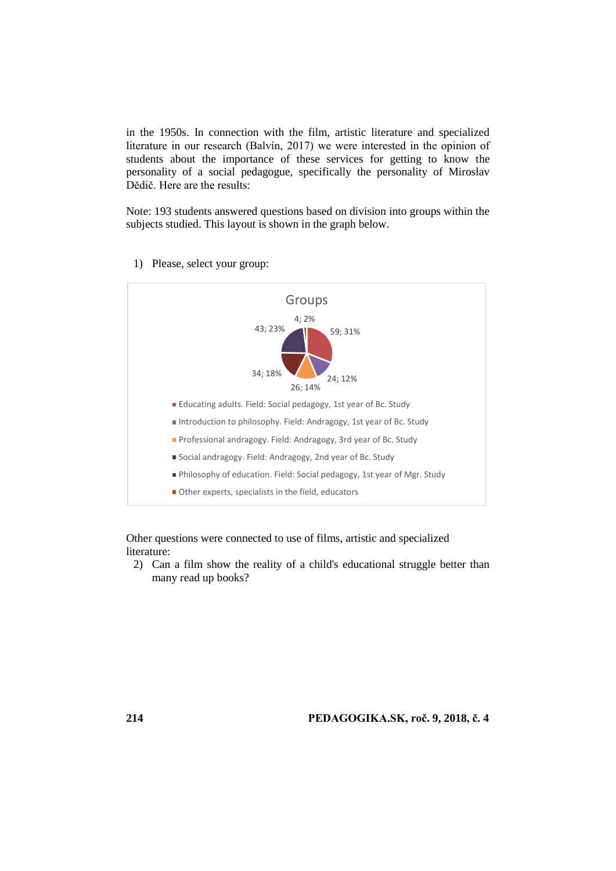in the 1950s. In connection with the film, artistic literature and specialized literature in our research (Balvín, 2017) we were interested in the opinion of students about the importance of these services for getting to know the personality of a social pedagogue, specifically the personality of Miroslav Dědič. Here are the results:

Note: 193 students answered questions based on division into groups within the subjects studied. This layout is shown in the graph below.



1) Please, select your group:

Other questions were connected to use of films, artistic and specialized literature:

2) Can a film show the reality of a child's educational struggle better than many read up books?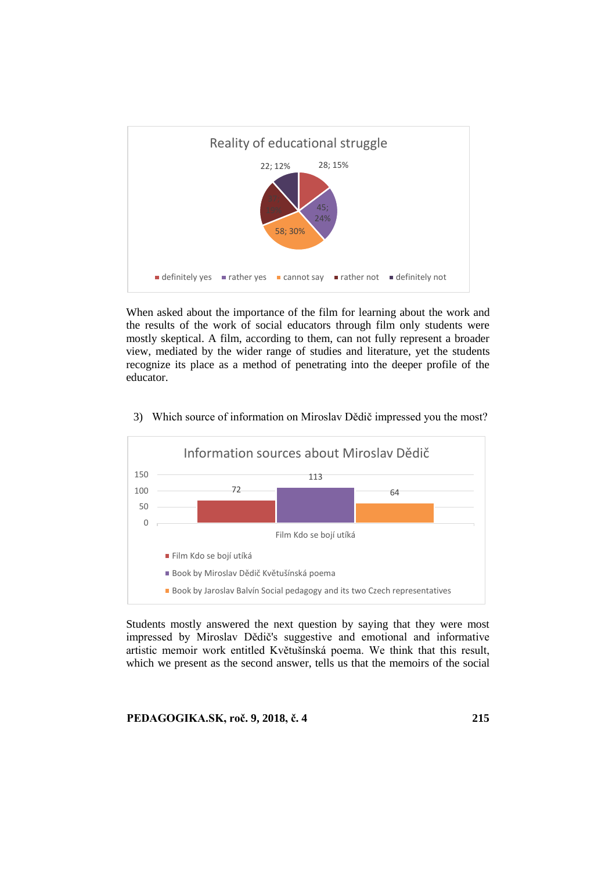

When asked about the importance of the film for learning about the work and the results of the work of social educators through film only students were mostly skeptical. A film, according to them, can not fully represent a broader view, mediated by the wider range of studies and literature, yet the students recognize its place as a method of penetrating into the deeper profile of the educator.



3) Which source of information on Miroslav Dědič impressed you the most?

Students mostly answered the next question by saying that they were most impressed by Miroslav Dědič's suggestive and emotional and informative artistic memoir work entitled Květušínská poema. We think that this result, which we present as the second answer, tells us that the memoirs of the social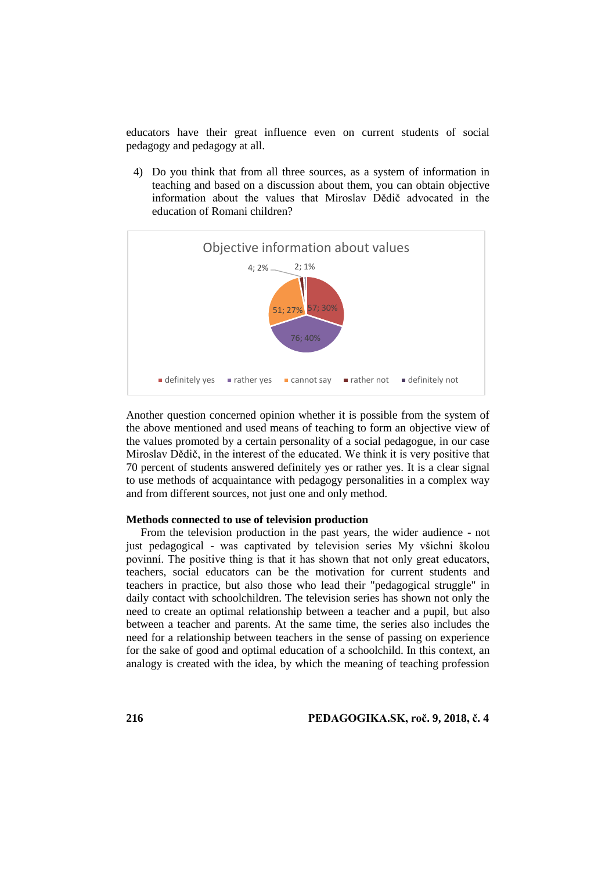educators have their great influence even on current students of social pedagogy and pedagogy at all.

4) Do you think that from all three sources, as a system of information in teaching and based on a discussion about them, you can obtain objective information about the values that Miroslav Dědič advocated in the education of Romani children?



Another question concerned opinion whether it is possible from the system of the above mentioned and used means of teaching to form an objective view of the values promoted by a certain personality of a social pedagogue, in our case Miroslav Dědič, in the interest of the educated. We think it is very positive that 70 percent of students answered definitely yes or rather yes. It is a clear signal to use methods of acquaintance with pedagogy personalities in a complex way and from different sources, not just one and only method.

#### **Methods connected to use of television production**

From the television production in the past years, the wider audience - not just pedagogical - was captivated by television series My všichni školou povinní. The positive thing is that it has shown that not only great educators, teachers, social educators can be the motivation for current students and teachers in practice, but also those who lead their "pedagogical struggle" in daily contact with schoolchildren. The television series has shown not only the need to create an optimal relationship between a teacher and a pupil, but also between a teacher and parents. At the same time, the series also includes the need for a relationship between teachers in the sense of passing on experience for the sake of good and optimal education of a schoolchild. In this context, an analogy is created with the idea, by which the meaning of teaching profession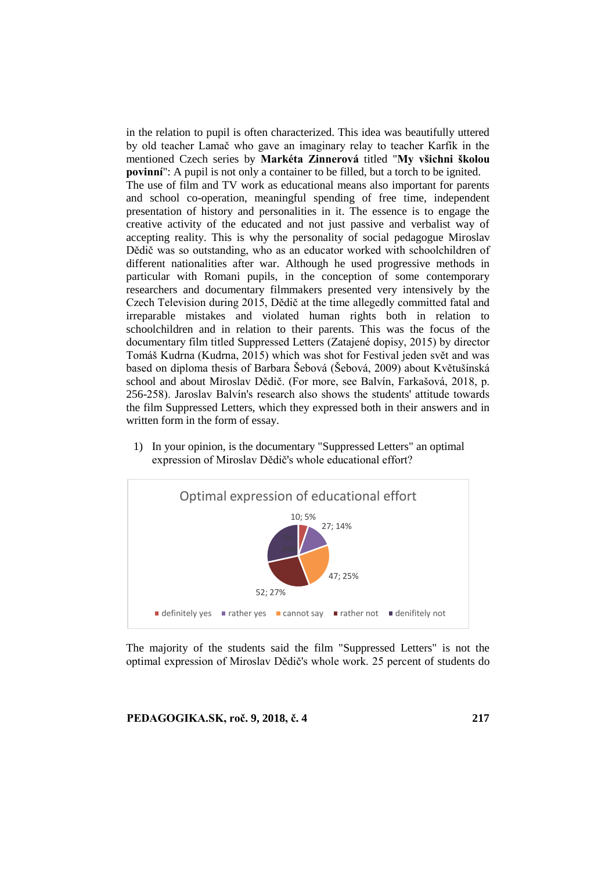in the relation to pupil is often characterized. This idea was beautifully uttered by old teacher Lamač who gave an imaginary relay to teacher Karfík in the mentioned Czech series by **Markéta Zinnerová** titled "**My všichni školou povinní**": A pupil is not only a container to be filled, but a torch to be ignited.

The use of film and TV work as educational means also important for parents and school co-operation, meaningful spending of free time, independent presentation of history and personalities in it. The essence is to engage the creative activity of the educated and not just passive and verbalist way of accepting reality. This is why the personality of social pedagogue Miroslav Dědič was so outstanding, who as an educator worked with schoolchildren of different nationalities after war. Although he used progressive methods in particular with Romani pupils, in the conception of some contemporary researchers and documentary filmmakers presented very intensively by the Czech Television during 2015, Dědič at the time allegedly committed fatal and irreparable mistakes and violated human rights both in relation to schoolchildren and in relation to their parents. This was the focus of the documentary film titled Suppressed Letters (Zatajené dopisy, 2015) by director Tomáš Kudrna (Kudrna, 2015) which was shot for Festival jeden svět and was based on diploma thesis of Barbara Šebová (Šebová, 2009) about Květušínská school and about Miroslav Dědič. (For more, see Balvín, Farkašová, 2018, p. 256-258). Jaroslav Balvín's research also shows the students' attitude towards the film Suppressed Letters, which they expressed both in their answers and in written form in the form of essay.

1) In your opinion, is the documentary "Suppressed Letters" an optimal expression of Miroslav Dědič's whole educational effort?



The majority of the students said the film "Suppressed Letters" is not the optimal expression of Miroslav Dědič's whole work. 25 percent of students do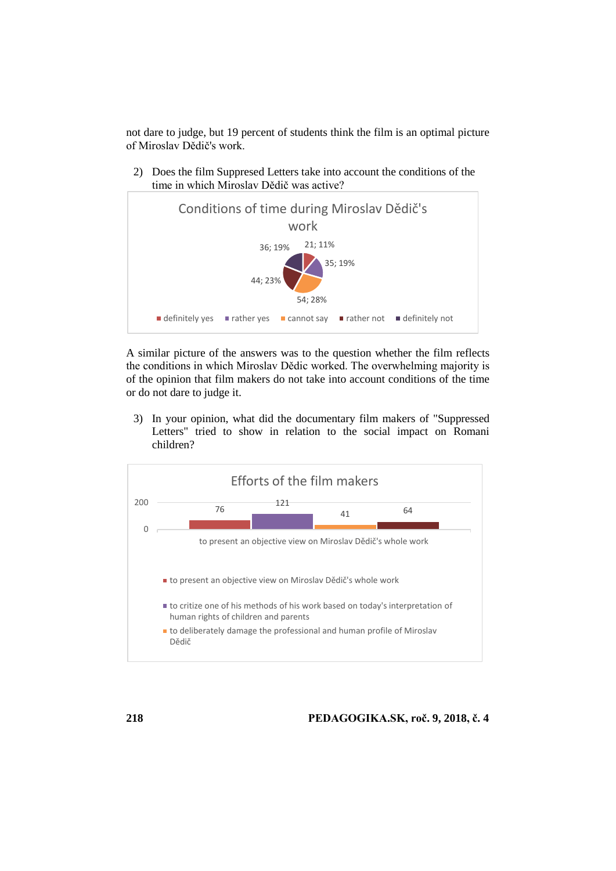not dare to judge, but 19 percent of students think the film is an optimal picture of Miroslav Dědič's work.

2) Does the film Suppresed Letters take into account the conditions of the time in which Miroslav Dědič was active?



A similar picture of the answers was to the question whether the film reflects the conditions in which Miroslav Dědic worked. The overwhelming majority is of the opinion that film makers do not take into account conditions of the time or do not dare to judge it.

3) In your opinion, what did the documentary film makers of "Suppressed Letters" tried to show in relation to the social impact on Romani children?

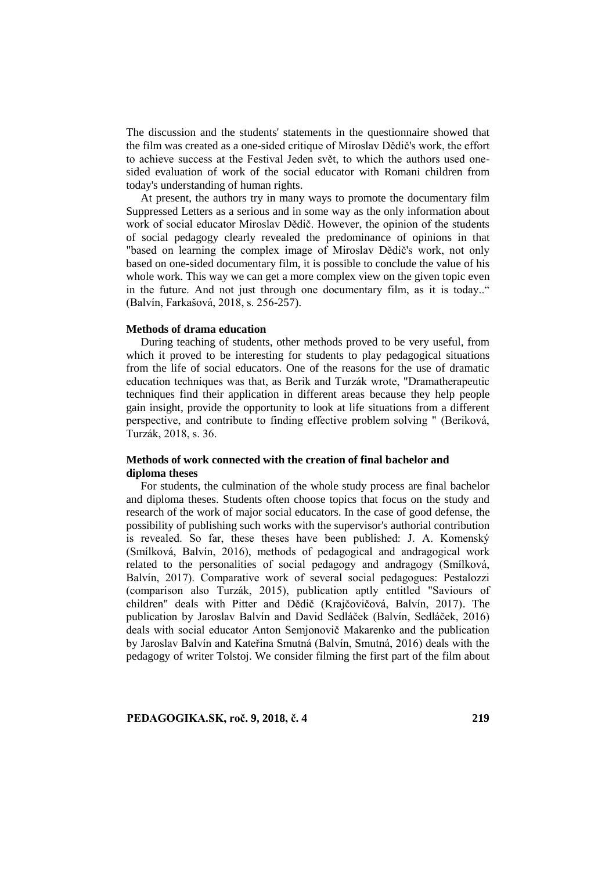The discussion and the students' statements in the questionnaire showed that the film was created as a one-sided critique of Miroslav Dědič's work, the effort to achieve success at the Festival Jeden svět, to which the authors used onesided evaluation of work of the social educator with Romani children from today's understanding of human rights.

At present, the authors try in many ways to promote the documentary film Suppressed Letters as a serious and in some way as the only information about work of social educator Miroslav Dědič. However, the opinion of the students of social pedagogy clearly revealed the predominance of opinions in that "based on learning the complex image of Miroslav Dědič's work, not only based on one-sided documentary film, it is possible to conclude the value of his whole work. This way we can get a more complex view on the given topic even in the future. And not just through one documentary film, as it is today.." (Balvín, Farkašová, 2018, s. 256-257).

#### **Methods of drama education**

During teaching of students, other methods proved to be very useful, from which it proved to be interesting for students to play pedagogical situations from the life of social educators. One of the reasons for the use of dramatic education techniques was that, as Berik and Turzák wrote, "Dramatherapeutic techniques find their application in different areas because they help people gain insight, provide the opportunity to look at life situations from a different perspective, and contribute to finding effective problem solving " (Beriková, Turzák, 2018, s. 36.

### **Methods of work connected with the creation of final bachelor and diploma theses**

For students, the culmination of the whole study process are final bachelor and diploma theses. Students often choose topics that focus on the study and research of the work of major social educators. In the case of good defense, the possibility of publishing such works with the supervisor's authorial contribution is revealed. So far, these theses have been published: J. A. Komenský (Smílková, Balvín, 2016), methods of pedagogical and andragogical work related to the personalities of social pedagogy and andragogy (Smílková, Balvín, 2017). Comparative work of several social pedagogues: Pestalozzi (comparison also Turzák, 2015), publication aptly entitled "Saviours of children" deals with Pitter and Dědič (Krajčovičová, Balvín, 2017). The publication by Jaroslav Balvín and David Sedláček (Balvín, Sedláček, 2016) deals with social educator Anton Semjonovič Makarenko and the publication by Jaroslav Balvín and Kateřina Smutná (Balvín, Smutná, 2016) deals with the pedagogy of writer Tolstoj. We consider filming the first part of the film about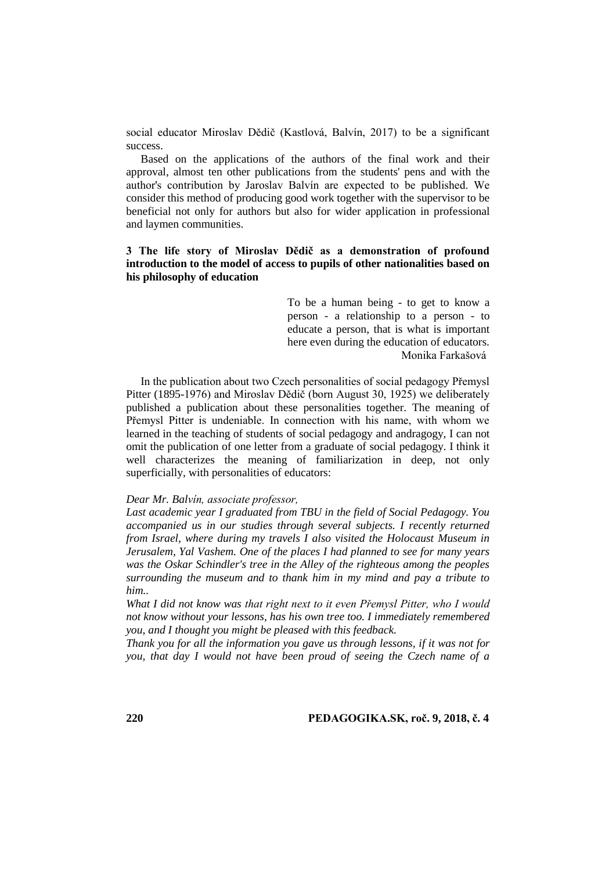social educator Miroslav Dědič (Kastlová, Balvín, 2017) to be a significant success.

Based on the applications of the authors of the final work and their approval, almost ten other publications from the students' pens and with the author's contribution by Jaroslav Balvín are expected to be published. We consider this method of producing good work together with the supervisor to be beneficial not only for authors but also for wider application in professional and laymen communities.

### **3 The life story of Miroslav Dědič as a demonstration of profound introduction to the model of access to pupils of other nationalities based on his philosophy of education**

To be a human being - to get to know a person - a relationship to a person - to educate a person, that is what is important here even during the education of educators. Monika Farkašová

In the publication about two Czech personalities of social pedagogy Přemysl Pitter (1895-1976) and Miroslav Dědič (born August 30, 1925) we deliberately published a publication about these personalities together. The meaning of Přemysl Pitter is undeniable. In connection with his name, with whom we learned in the teaching of students of social pedagogy and andragogy, I can not omit the publication of one letter from a graduate of social pedagogy. I think it well characterizes the meaning of familiarization in deep, not only superficially, with personalities of educators:

#### *Dear Mr. Balvín, associate professor,*

*Last academic year I graduated from TBU in the field of Social Pedagogy. You accompanied us in our studies through several subjects. I recently returned from Israel, where during my travels I also visited the Holocaust Museum in Jerusalem, Yal Vashem. One of the places I had planned to see for many years was the Oskar Schindler's tree in the Alley of the righteous among the peoples surrounding the museum and to thank him in my mind and pay a tribute to him..*

*What I did not know was that right next to it even Přemysl Pitter, who I would not know without your lessons, has his own tree too. I immediately remembered you, and I thought you might be pleased with this feedback.*

*Thank you for all the information you gave us through lessons, if it was not for you, that day I would not have been proud of seeing the Czech name of a*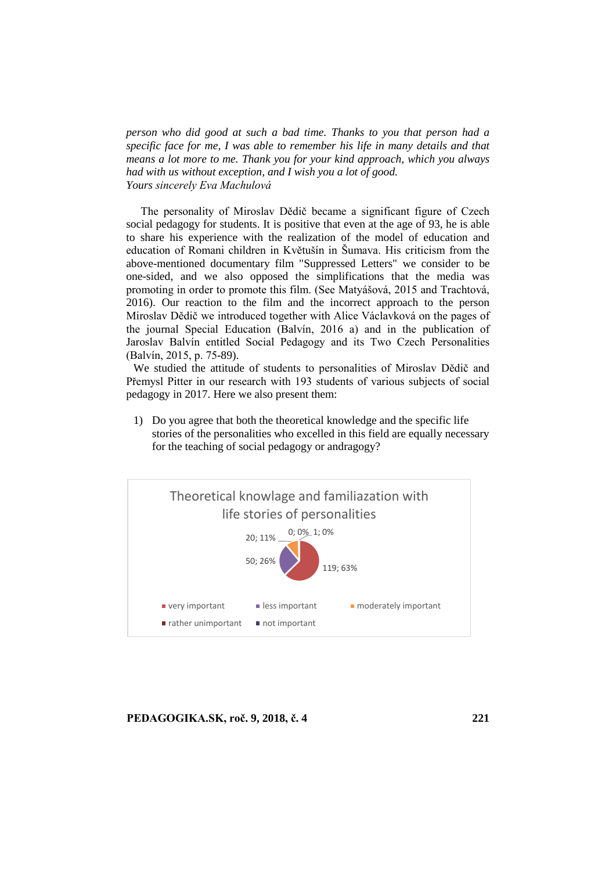*person who did good at such a bad time. Thanks to you that person had a specific face for me, I was able to remember his life in many details and that means a lot more to me. Thank you for your kind approach, which you always had with us without exception, and I wish you a lot of good. Yours sincerely Eva Machulová*

The personality of Miroslav Dědič became a significant figure of Czech social pedagogy for students. It is positive that even at the age of 93, he is able to share his experience with the realization of the model of education and education of Romani children in Květušín in Šumava. His criticism from the above-mentioned documentary film "Suppressed Letters" we consider to be one-sided, and we also opposed the simplifications that the media was promoting in order to promote this film. (See Matyášová, 2015 and Trachtová, 2016). Our reaction to the film and the incorrect approach to the person Miroslav Dědič we introduced together with Alice Václavková on the pages of the journal Special Education (Balvín, 2016 a) and in the publication of Jaroslav Balvín entitled Social Pedagogy and its Two Czech Personalities (Balvín, 2015, p. 75-89).

We studied the attitude of students to personalities of Miroslav Dědič and Přemysl Pitter in our research with 193 students of various subjects of social pedagogy in 2017. Here we also present them:

1) Do you agree that both the theoretical knowledge and the specific life stories of the personalities who excelled in this field are equally necessary for the teaching of social pedagogy or andragogy?

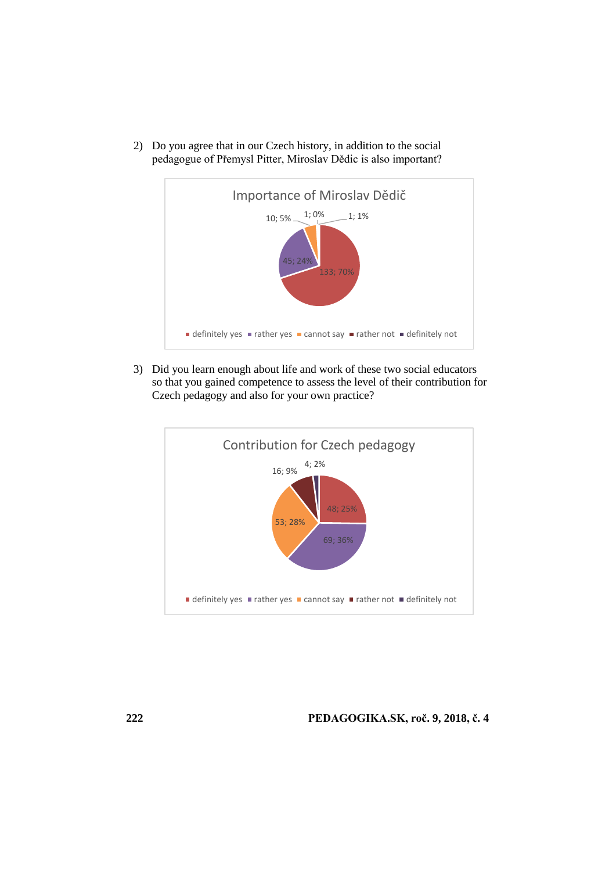

2) Do you agree that in our Czech history, in addition to the social pedagogue of Přemysl Pitter, Miroslav Dědic is also important?

3) Did you learn enough about life and work of these two social educators so that you gained competence to assess the level of their contribution for Czech pedagogy and also for your own practice?

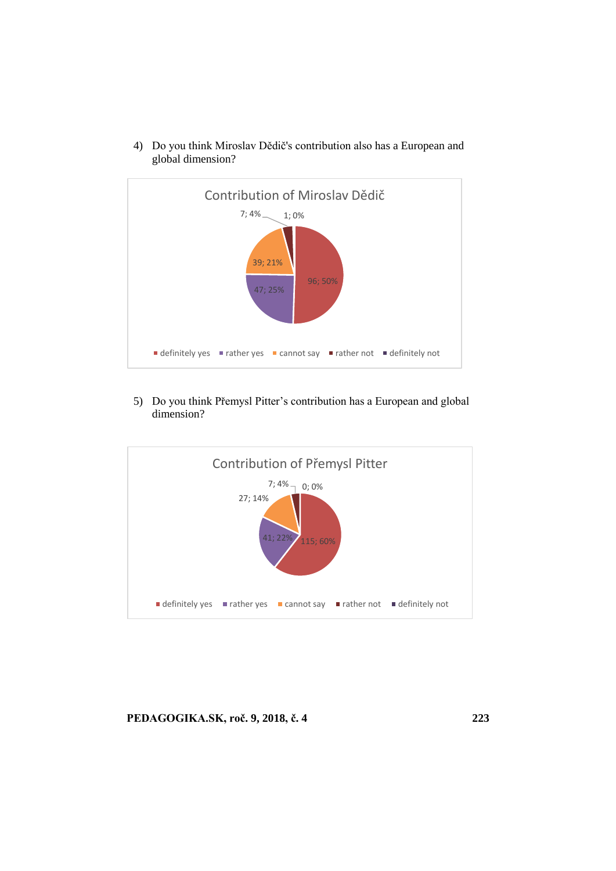

4) Do you think Miroslav Dědič's contribution also has a European and global dimension?

5) Do you think Přemysl Pitter's contribution has a European and global dimension?

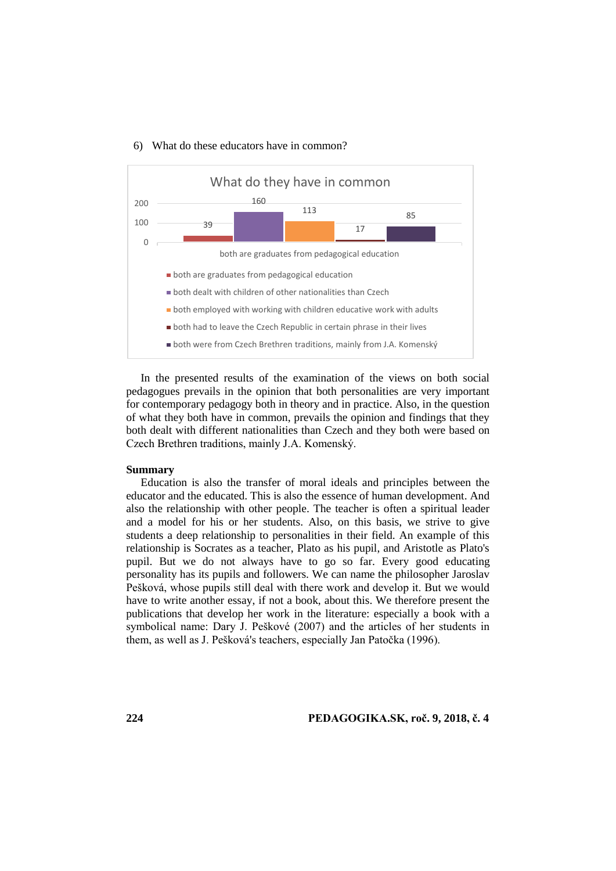



In the presented results of the examination of the views on both social pedagogues prevails in the opinion that both personalities are very important for contemporary pedagogy both in theory and in practice. Also, in the question of what they both have in common, prevails the opinion and findings that they both dealt with different nationalities than Czech and they both were based on Czech Brethren traditions, mainly J.A. Komenský.

#### **Summary**

Education is also the transfer of moral ideals and principles between the educator and the educated. This is also the essence of human development. And also the relationship with other people. The teacher is often a spiritual leader and a model for his or her students. Also, on this basis, we strive to give students a deep relationship to personalities in their field. An example of this relationship is Socrates as a teacher, Plato as his pupil, and Aristotle as Plato's pupil. But we do not always have to go so far. Every good educating personality has its pupils and followers. We can name the philosopher Jaroslav Pešková, whose pupils still deal with there work and develop it. But we would have to write another essay, if not a book, about this. We therefore present the publications that develop her work in the literature: especially a book with a symbolical name: Dary J. Peškové (2007) and the articles of her students in them, as well as J. Pešková's teachers, especially Jan Patočka (1996).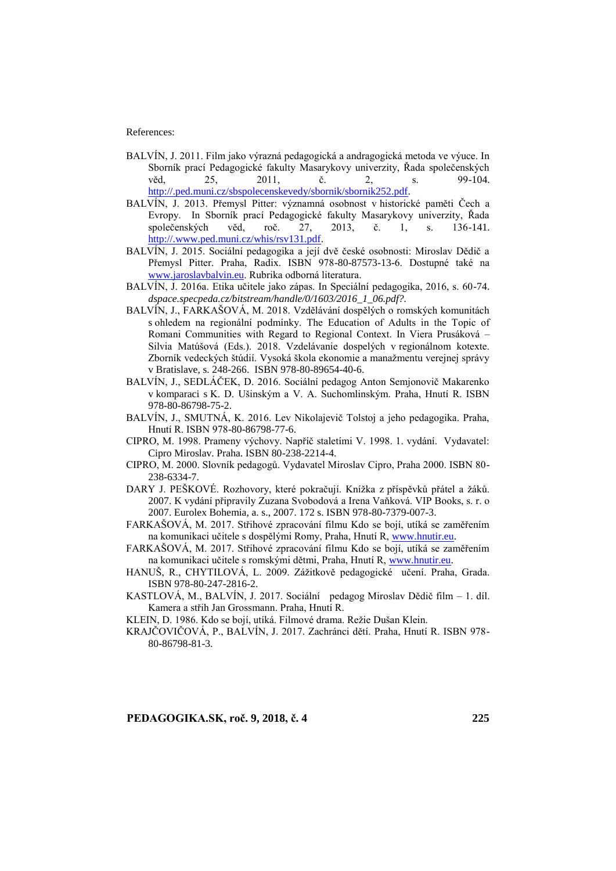References:

- BALVÍN, J. 2011. Film jako výrazná pedagogická a andragogická metoda ve výuce. In Sborník prací Pedagogické fakulty Masarykovy univerzity, Řada společenských věd, 25, 2011, č. 2, s. 99-104. [http://.ped.muni.cz/sbspolecenskevedy/sbornik/sbornik252.pdf.](http://.ped.muni.cz/sbspolecenskevedy/sbornik/sbornik252.pdf)
- BALVÍN, J. 2013. Přemysl Pitter: významná osobnost v historické paměti Čech a Evropy. In Sborník prací Pedagogické fakulty Masarykovy univerzity, Řada společenských věd, roč. 27, 2013, č. 1, s. 136-141. [http://.www.ped.muni.cz/whis/rsv131.pdf.](http://.www.ped.muni.cz/whis/rsv131.pdf)
- BALVÍN, J. 2015. Sociální pedagogika a její dvě české osobnosti: Miroslav Dědič a Přemysl Pitter. Praha, Radix. ISBN 978-80-87573-13-6. Dostupné také na [www.jaroslavbalvin.eu.](http://www.jaroslavbalvin.eu/) Rubrika odborná literatura.
- BALVÍN, J. 2016a. Etika učitele jako zápas. In Speciální pedagogika, 2016, s. 60-74. *dspace.specpeda.cz/bitstream/handle/0/1603/2016\_1\_06.pdf?.*
- BALVÍN, J., FARKAŠOVÁ, M. 2018. Vzdělávání dospělých o romských komunitách s ohledem na regionální podmínky. The Education of Adults in the Topic of Romani Communities with Regard to Regional Context. In Viera Prusáková – Silvia Matúšová (Eds.). 2018. Vzdelávanie dospelých v regionálnom kotexte. Zborník vedeckých štúdií. Vysoká škola ekonomie a manažmentu verejnej správy v Bratislave, s. 248-266. ISBN 978-80-89654-40-6.
- BALVÍN, J., SEDLÁČEK, D. 2016. Sociální pedagog Anton Semjonovič Makarenko v komparaci s K. D. Ušinským a V. A. Suchomlinským. Praha, Hnutí R. ISBN 978-80-86798-75-2.
- BALVÍN, J., SMUTNÁ, K. 2016. Lev Nikolajevič Tolstoj a jeho pedagogika. Praha, Hnutí R. ISBN 978-80-86798-77-6.
- CIPRO, M. 1998. Prameny výchovy. Napříč staletími V. 1998. 1. vydání. Vydavatel: Cipro Miroslav. Praha. ISBN 80-238-2214-4.
- CIPRO, M. 2000. Slovník pedagogů. Vydavatel Miroslav Cipro, Praha 2000. ISBN 80- 238-6334-7.
- DARY J. PEŠKOVÉ. Rozhovory, které pokračují. Knížka z příspěvků přátel a žáků. 2007. K vydání připravily Zuzana Svobodová a Irena Vaňková. VIP Books, s. r. o 2007. Eurolex Bohemia, a. s., 2007. 172 s. ISBN 978-80-7379-007-3.
- FARKAŠOVÁ, M. 2017. Střihové zpracování filmu Kdo se bojí, utíká se zaměřením na komunikaci učitele s dospělými Romy, Praha, Hnutí R[, www.hnutir.eu.](http://www.hnutir.eu/)
- FARKAŠOVÁ, M. 2017. Střihové zpracování filmu Kdo se bojí, utíká se zaměřením na komunikaci učitele s romskými dětmi, Praha, Hnutí R, [www.hnutir.eu.](http://www.hnutir.eu/)
- HANUŠ, R., CHYTILOVÁ, L. 2009. Zážitkově pedagogické učení. Praha, Grada. ISBN 978-80-247-2816-2.
- KASTLOVÁ, M., BALVÍN, J. 2017. Sociální pedagog Miroslav Dědič film 1. díl. Kamera a střih Jan Grossmann. Praha, Hnutí R.
- KLEIN, D. 1986. Kdo se bojí, utíká. Filmové drama. Režie Dušan Klein.
- KRAJČOVIČOVÁ, P., BALVÍN, J. 2017. Zachránci dětí. Praha, Hnutí R. ISBN 978- 80-86798-81-3.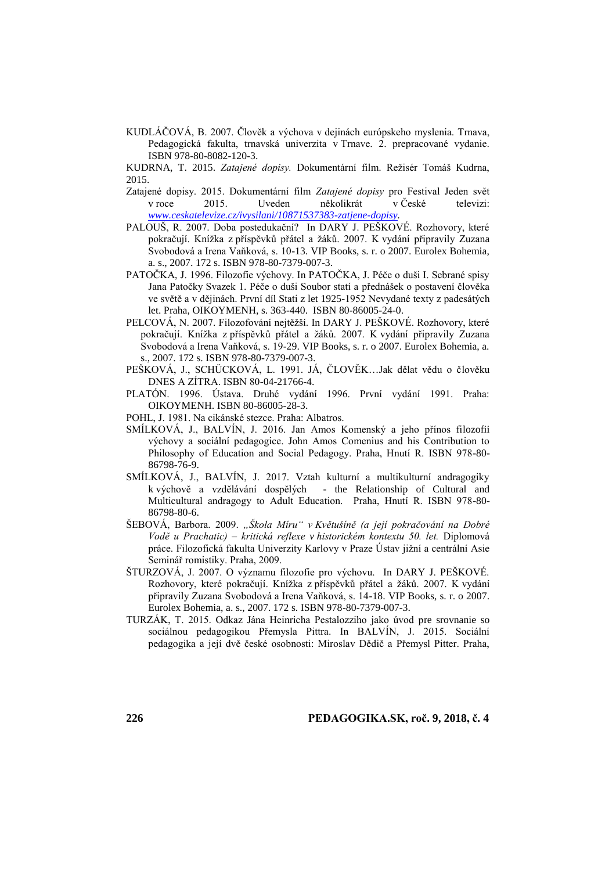KUDLÁČOVÁ, B. 2007. Člověk a výchova v dejinách európskeho myslenia. Trnava, Pedagogická fakulta, trnavská univerzita v Trnave. 2. prepracované vydanie. ISBN 978-80-8082-120-3.

KUDRNA, T. 2015. *Zatajené dopisy.* Dokumentární film. Režisér Tomáš Kudrna, 2015.

- Zatajené dopisy. 2015. Dokumentární film *Zatajené dopisy* pro Festival Jeden svět v roce 2015. Uveden několikrát v České televizi: *[www.ceskatelevize.cz/ivysilani/10871537383-zatjene-dopisy.](http://www.ceskatelevize.cz/ivysilani/10871537383-zatjene-dopisy)*
- PALOUŠ, R. 2007. Doba postedukační? In DARY J. PEŠKOVÉ. Rozhovory, které pokračují. Knížka z příspěvků přátel a žáků. 2007. K vydání připravily Zuzana Svobodová a Irena Vaňková, s. 10-13. VIP Books, s. r. o 2007. Eurolex Bohemia, a. s., 2007. 172 s. ISBN 978-80-7379-007-3.
- PATOČKA, J. 1996. Filozofie výchovy. In PATOČKA, J. Péče o duši I. Sebrané spisy Jana Patočky Svazek 1. Péče o duši Soubor statí a přednášek o postavení člověka ve světě a v dějinách. První díl Stati z let 1925-1952 Nevydané texty z padesátých let. Praha, OIKOYMENH, s. 363-440. ISBN 80-86005-24-0.
- PELCOVÁ, N. 2007. Filozofování nejtěžší. In DARY J. PEŠKOVÉ. Rozhovory, které pokračují. Knížka z příspěvků přátel a žáků. 2007. K vydání připravily Zuzana Svobodová a Irena Vaňková, s. 19-29. VIP Books, s. r. o 2007. Eurolex Bohemia, a. s., 2007. 172 s. ISBN 978-80-7379-007-3.
- PEŠKOVÁ, J., SCHÜCKOVÁ, L. 1991. JÁ, ČLOVĚK…Jak dělat vědu o člověku DNES A ZÍTRA. ISBN 80-04-21766-4.
- PLATÓN. 1996. Ústava. Druhé vydání 1996. První vydání 1991. Praha: OIKOYMENH. ISBN 80-86005-28-3.
- POHL, J. 1981. Na cikánské stezce. Praha: Albatros.
- SMÍLKOVÁ, J., BALVÍN, J. 2016. Jan Amos Komenský a jeho přínos filozofii výchovy a sociální pedagogice. John Amos Comenius and his Contribution to Philosophy of Education and Social Pedagogy. Praha, Hnutí R. ISBN 978-80- 86798-76-9.
- SMÍLKOVÁ, J., BALVÍN, J. 2017. Vztah kulturní a multikulturní andragogiky k výchově a vzdělávání dospělých - the Relationship of Cultural and Multicultural andragogy to Adult Education. Praha, Hnutí R. ISBN 978-80- 86798-80-6.
- ŠEBOVÁ, Barbora. 2009. *"Škola Míru" v Květušíně (a její pokračování na Dobré Vodě u Prachatic) – kritická reflexe v historickém kontextu 50. let.* Diplomová práce. Filozofická fakulta Univerzity Karlovy v Praze Ústav jižní a centrální Asie Seminář romistiky. Praha, 2009.
- ŠTURZOVÁ, J. 2007. O významu filozofie pro výchovu. In DARY J. PEŠKOVÉ. Rozhovory, které pokračují. Knížka z příspěvků přátel a žáků. 2007. K vydání připravily Zuzana Svobodová a Irena Vaňková, s. 14-18. VIP Books, s. r. o 2007. Eurolex Bohemia, a. s., 2007. 172 s. ISBN 978-80-7379-007-3.
- TURZÁK, T. 2015. Odkaz Jána Heinricha Pestalozziho jako úvod pre srovnanie so sociálnou pedagogikou Přemysla Pittra. In BALVÍN, J. 2015. Sociální pedagogika a její dvě české osobnosti: Miroslav Dědič a Přemysl Pitter. Praha,